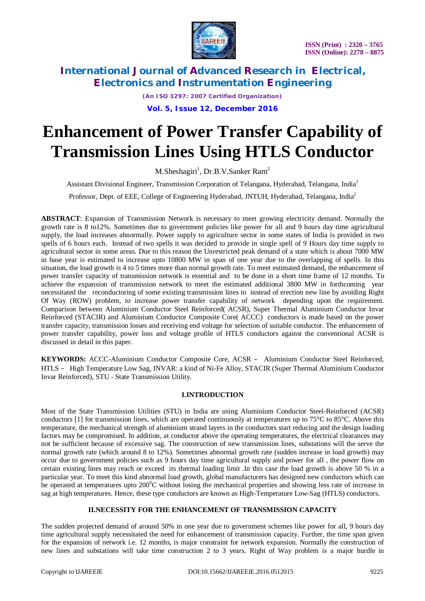

*(An ISO 3297: 2007 Certified Organization)*

## **Vol. 5, Issue 12, December 2016**

# **Enhancement of Power Transfer Capability of Transmission Lines Using HTLS Conductor**

M.Sheshagiri<sup>1</sup>, Dr.B.V.Sanker Ram<sup>2</sup>

Assistant Divisional Engineer, Transmission Corporation of Telangana, Hyderabad, Telangana, India<sup>1</sup>

Professor, Dept. of EEE, College of Engineering Hyderabad, JNTUH, Hyderabad, Telangana, India<sup>2</sup>

**ABSTRACT**: Expansion of Transmission Network is necessary to meet growing electricity demand. Normally the growth rate is 8 to12%. Sometimes due to government policies like power for all and 9 hours day time agricultural supply, the load increases abnormally. Power supply to agriculture sector in some states of India is provided in two spells of 6 hours each. Instead of two spells it was decided to provide in single spell of 9 Hours day time supply to agricultural sector in some areas. Due to this reason the Unrestricted peak demand of a state which is about 7000 MW in base year is estimated to increase upto 10800 MW in span of one year due to the overlapping of spells. In this situation, the load growth is 4 to 5 times more than normal growth rate. To meet estimated demand, the enhancement of power transfer capacity of transmission network is essential and to be done in a short time frame of 12 months. To achieve the expansion of transmission network to meet the estimated additional 3800 MW in forthcoming year necessitated the reconductoring of some existing transmission lines to instead of erection new line by avoiding Right Of Way (ROW) problem, to increase power transfer capability of network depending upon the requirement. Comparison between Aluminium Conductor Steel Reinforced( ACSR), Super Thermal Aluminium Conductor Invar Reinforced (STACIR) and Aluminium Conductor Composite Core( ACCC) conductors is made based on the power transfer capacity, transmission losses and receiving end voltage for selection of suitable conductor. The enhancement of power transfer capability, power loss and voltage profile of HTLS conductors against the conventional ACSR is discussed in detail in this paper.

**KEYWORDS:** ACCC-Aluminium Conductor Composite Core, ACSR – Aluminium Conductor Steel Reinforced, HTLS – High Temperature Low Sag, INVAR: a kind of Ni-Fe Alloy, STACIR (Super Thermal Aluminium Conductor Invar Reinforced), STU - State Transmission Utility.

# **I.INTRODUCTION**

Most of the State Transmission Utilities (STU) in India are using Aluminium Conductor Steel-Reinforced (ACSR) conductors [1] for transmission lines, which are operated continuously at temperatures up to 75°C to 85°C. Above this temperature, the mechanical strength of aluminium strand layers in the conductors start reducing and the design loading factors may be compromised. In addition, at conductor above the operating temperatures, the electrical clearances may not be sufficient because of excessive sag. The construction of new transmission lines, substations will the serve the normal growth rate (which around 8 to 12%). Sometimes abnormal growth rate (sudden increase in load growth) may occur due to government policies such as 9 hours day time agricultural supply and power for all , the power flow on certain existing lines may reach or exceed its thermal loading limit .In this case the load growth is above 50 % in a particular year. To meet this kind abnormal load growth, global manufacturers has designed new conductors which can be operated at temperatures upto  $200^{\circ}$ C without losing the mechanical properties and showing less rate of increase in sag at high temperatures. Hence, these type conductors are known as High-Temperature Low-Sag (HTLS) conductors.

#### **II.NECESSITY FOR THE ENHANCEMENT OF TRANSMISSION CAPACITY**

The sudden projected demand of around 50% in one year due to government schemes like power for all, 9 hours day time agricultural supply necessitated the need for enhancement of transmission capacity. Further, the time span given for the expansion of network i.e. 12 months, is major constraint for network expansion. Normally the construction of new lines and substations will take time construction 2 to 3 years. Right of Way problem is a major hurdle in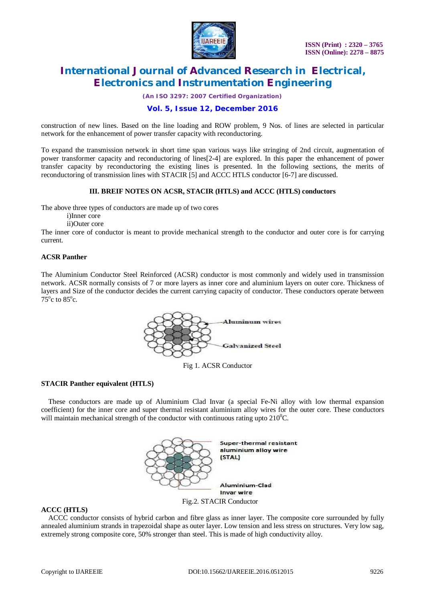

*(An ISO 3297: 2007 Certified Organization)*

## **Vol. 5, Issue 12, December 2016**

construction of new lines. Based on the line loading and ROW problem, 9 Nos. of lines are selected in particular network for the enhancement of power transfer capacity with reconductoring.

To expand the transmission network in short time span various ways like stringing of 2nd circuit, augmentation of power transformer capacity and reconductoring of lines[2-4] are explored. In this paper the enhancement of power transfer capacity by reconductoring the existing lines is presented. In the following sections, the merits of reconductoring of transmission lines with STACIR [5] and ACCC HTLS conductor [6-7] are discussed.

#### **III. BREIF NOTES ON ACSR, STACIR (HTLS) and ACCC (HTLS) conductors**

The above three types of conductors are made up of two cores

i)Inner core

ii)Outer core

The inner core of conductor is meant to provide mechanical strength to the conductor and outer core is for carrying current.

#### **ACSR Panther**

The Aluminium Conductor Steel Reinforced (ACSR) conductor is most commonly and widely used in transmission network. ACSR normally consists of 7 or more layers as inner core and aluminium layers on outer core. Thickness of layers and Size of the conductor decides the current carrying capacity of conductor. These conductors operate between  $75^{\circ}$ c to  $85^{\circ}$ c.



Fig 1. ACSR Conductor

#### **STACIR Panther equivalent (HTLS)**

These conductors are made up of Aluminium Clad Invar (a special Fe-Ni alloy with low thermal expansion coefficient) for the inner core and super thermal resistant aluminium alloy wires for the outer core. These conductors will maintain mechanical strength of the conductor with continuous rating upto  $210^{\circ}$ C.



#### **ACCC (HTLS)**

ACCC conductor consists of hybrid carbon and fibre glass as inner layer. The composite core surrounded by fully annealed aluminium strands in trapezoidal shape as outer layer. Low tension and less stress on structures. Very low sag, extremely strong composite core, 50% stronger than steel. This is made of high conductivity alloy.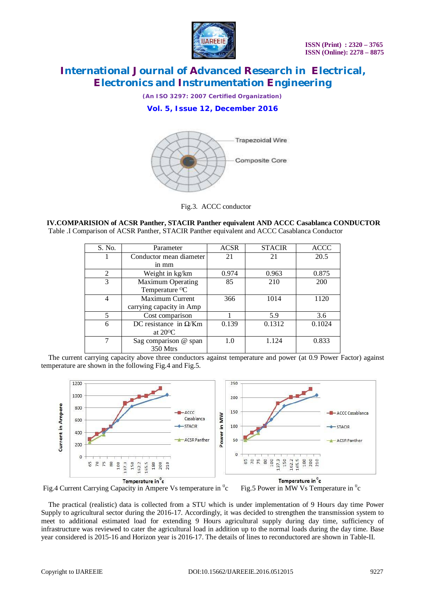

*(An ISO 3297: 2007 Certified Organization)*

## **Vol. 5, Issue 12, December 2016**



Fig.3. ACCC conductor

**IV.COMPARISION of ACSR Panther, STACIR Panther equivalent AND ACCC Casablanca CONDUCTOR** Table .I Comparison of ACSR Panther, STACIR Panther equivalent and ACCC Casablanca Conductor

| S. No.        | Parameter                     | <b>ACSR</b> | <b>STACIR</b> | <b>ACCC</b> |
|---------------|-------------------------------|-------------|---------------|-------------|
|               | Conductor mean diameter       | 21          | 21            | 20.5        |
|               | in mm                         |             |               |             |
| 2             | Weight in kg/km               | 0.974       | 0.963         | 0.875       |
| $\mathcal{R}$ | <b>Maximum Operating</b>      | 85          | 210           | 200         |
|               | Temperature <sup>O</sup> C    |             |               |             |
|               | Maximum Current               | 366         | 1014          | 1120        |
|               | carrying capacity in Amp      |             |               |             |
| 5             | Cost comparison               |             | 5.9           | 3.6         |
| 6             | DC resistance in $\Omega$ /Km | 0.139       | 0.1312        | 0.1024      |
|               | at $20^{\circ}$ C             |             |               |             |
|               | Sag comparison @ span         | 1.0         | 1.124         | 0.833       |
|               | 350 Mtrs                      |             |               |             |

The current carrying capacity above three conductors against temperature and power (at 0.9 Power Factor) against temperature are shown in the following Fig.4 and Fig.5.



c Fig.5 Power in MW Vs Temperature in  ${}^{0}$ c

The practical (realistic) data is collected from a STU which is under implementation of 9 Hours day time Power Supply to agricultural sector during the 2016-17. Accordingly, it was decided to strengthen the transmission system to meet to additional estimated load for extending 9 Hours agricultural supply during day time, sufficiency of infrastructure was reviewed to cater the agricultural load in addition up to the normal loads during the day time. Base year considered is 2015-16 and Horizon year is 2016-17. The details of lines to reconductored are shown in Table-II.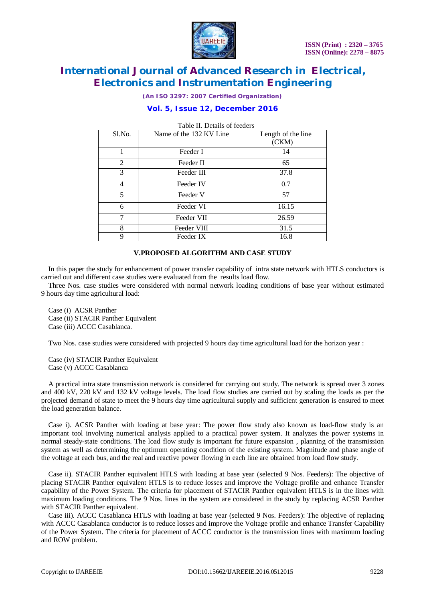

*(An ISO 3297: 2007 Certified Organization)*

## **Vol. 5, Issue 12, December 2016**

| Table II. Details of leeders |                         |                    |  |  |
|------------------------------|-------------------------|--------------------|--|--|
| Sl.No.                       | Name of the 132 KV Line | Length of the line |  |  |
|                              |                         | (CKM)              |  |  |
|                              | Feeder I                | 14                 |  |  |
| 2                            | Feeder II               | 65                 |  |  |
| 3                            | Feeder III              | 37.8               |  |  |
| 4                            | Feeder IV               | 0.7                |  |  |
| 5                            | Feeder V                | 57                 |  |  |
| 6                            | Feeder VI               | 16.15              |  |  |
| 7                            | Feeder VII              | 26.59              |  |  |
| 8                            | Feeder VIII             | 31.5               |  |  |
| 9                            | Feeder IX               | 16.8               |  |  |

## $T$  II.  $T$   $D$   $T$   $T$   $C$   $T$

#### **V.PROPOSED ALGORITHM AND CASE STUDY**

In this paper the study for enhancement of power transfer capability of intra state network with HTLS conductors is carried out and different case studies were evaluated from the results load flow.

Three Nos. case studies were considered with normal network loading conditions of base year without estimated 9 hours day time agricultural load:

Case (i) ACSR Panther Case (ii) STACIR Panther Equivalent Case (iii) ACCC Casablanca.

Two Nos. case studies were considered with projected 9 hours day time agricultural load for the horizon year :

Case (iv) STACIR Panther Equivalent Case (v) ACCC Casablanca

A practical intra state transmission network is considered for carrying out study. The network is spread over 3 zones and 400 kV, 220 kV and 132 kV voltage levels. The load flow studies are carried out by scaling the loads as per the projected demand of state to meet the 9 hours day time agricultural supply and sufficient generation is ensured to meet the load generation balance.

Case i). ACSR Panther with loading at base year: The power flow study also known as load-flow study is an important tool involving numerical analysis applied to a practical power system. It analyzes the power systems in normal steady-state conditions. The load flow study is important for future expansion , planning of the transmission system as well as determining the optimum operating condition of the existing system. Magnitude and phase angle of the voltage at each bus, and the real and reactive power flowing in each line are obtained from load flow study.

Case ii). STACIR Panther equivalent HTLS with loading at base year (selected 9 Nos. Feeders): The objective of placing STACIR Panther equivalent HTLS is to reduce losses and improve the Voltage profile and enhance Transfer capability of the Power System. The criteria for placement of STACIR Panther equivalent HTLS is in the lines with maximum loading conditions. The 9 Nos. lines in the system are considered in the study by replacing ACSR Panther with STACIR Panther equivalent.

Case iii). ACCC Casablanca HTLS with loading at base year (selected 9 Nos. Feeders): The objective of replacing with ACCC Casablanca conductor is to reduce losses and improve the Voltage profile and enhance Transfer Capability of the Power System. The criteria for placement of ACCC conductor is the transmission lines with maximum loading and ROW problem.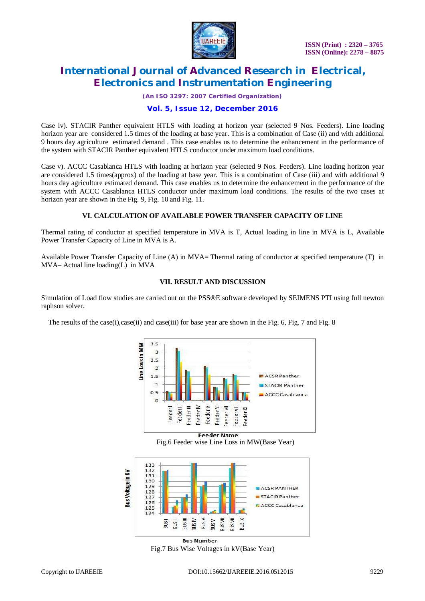

*(An ISO 3297: 2007 Certified Organization)*

## **Vol. 5, Issue 12, December 2016**

Case iv). STACIR Panther equivalent HTLS with loading at horizon year (selected 9 Nos. Feeders). Line loading horizon year are considered 1.5 times of the loading at base year. This is a combination of Case (ii) and with additional 9 hours day agriculture estimated demand . This case enables us to determine the enhancement in the performance of the system with STACIR Panther equivalent HTLS conductor under maximum load conditions.

Case v). ACCC Casablanca HTLS with loading at horizon year (selected 9 Nos. Feeders). Line loading horizon year are considered 1.5 times(approx) of the loading at base year. This is a combination of Case (iii) and with additional 9 hours day agriculture estimated demand. This case enables us to determine the enhancement in the performance of the system with ACCC Casablanca HTLS conductor under maximum load conditions. The results of the two cases at horizon year are shown in the Fig. 9, Fig. 10 and Fig. 11.

#### **VI. CALCULATION OF AVAILABLE POWER TRANSFER CAPACITY OF LINE**

Thermal rating of conductor at specified temperature in MVA is T, Actual loading in line in MVA is L, Available Power Transfer Capacity of Line in MVA is A.

Available Power Transfer Capacity of Line (A) in MVA= Thermal rating of conductor at specified temperature (T) in MVA– Actual line loading(L) in MVA

#### **VII. RESULT AND DISCUSSION**

Simulation of Load flow studies are carried out on the PSS®E software developed by SEIMENS PTI using full newton raphson solver.

The results of the case(i),case(ii) and case(iii) for base year are shown in the Fig. 6, Fig. 7 and Fig. 8



**Feeder Name** 

Fig.6 Feeder wise Line Loss in MW(Base Year)



**Bus Number** Fig.7 Bus Wise Voltages in kV(Base Year)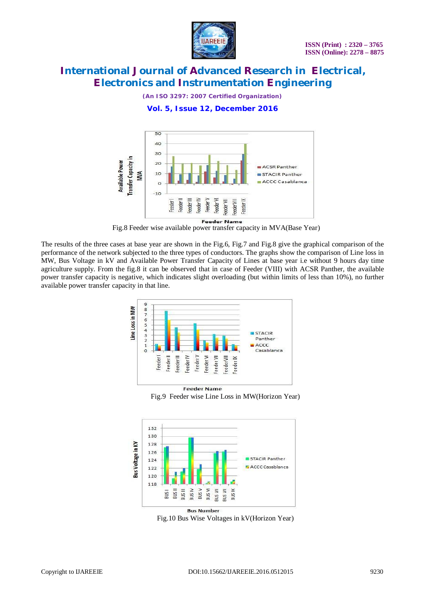

*(An ISO 3297: 2007 Certified Organization)*

## **Vol. 5, Issue 12, December 2016**



Fig.8 Feeder wise available power transfer capacity in MVA(Base Year)

The results of the three cases at base year are shown in the Fig.6, Fig.7 and Fig.8 give the graphical comparison of the performance of the network subjected to the three types of conductors. The graphs show the comparison of Line loss in MW, Bus Voltage in kV and Available Power Transfer Capacity of Lines at base year i.e without 9 hours day time agriculture supply. From the fig.8 it can be observed that in case of Feeder (VIII) with ACSR Panther, the available power transfer capacity is negative, which indicates slight overloading (but within limits of less than 10%), no further available power transfer capacity in that line.



Fig.9 Feeder wise Line Loss in MW(Horizon Year)



Fig.10 Bus Wise Voltages in kV(Horizon Year)